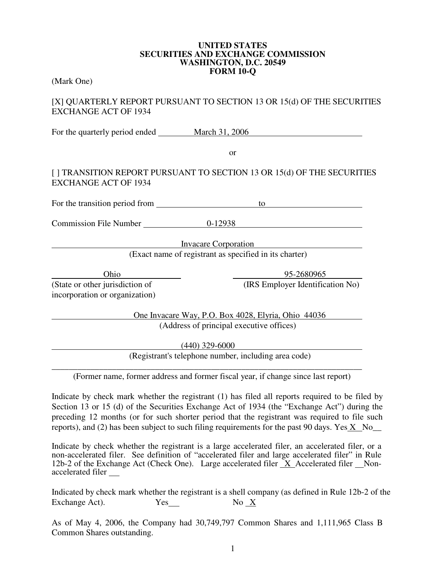#### **UNITED STATES SECURITIES AND EXCHANGE COMMISSION WASHINGTON, D.C. 20549 FORM 10-Q**

(Mark One)

### [X] QUARTERLY REPORT PURSUANT TO SECTION 13 OR 15(d) OF THE SECURITIES EXCHANGE ACT OF 1934

For the quarterly period ended March 31, 2006

or

## [ ] TRANSITION REPORT PURSUANT TO SECTION 13 OR 15(d) OF THE SECURITIES EXCHANGE ACT OF 1934

For the transition period from to to the transition period from the transition period from the transition of the transition  $\frac{1}{2}$ 

Commission File Number 0-12938

Invacare Corporation

(Exact name of registrant as specified in its charter)

(State or other jurisdiction of (IRS Employer Identification No) incorporation or organization)

Ohio 95-2680965

One Invacare Way, P.O. Box 4028, Elyria, Ohio 44036 (Address of principal executive offices)

(440) 329-6000

(Registrant's telephone number, including area code)

\_\_\_\_\_\_\_\_\_\_\_\_\_\_\_\_\_\_\_\_\_\_\_\_\_\_\_\_\_\_\_\_\_\_\_\_\_\_\_\_\_\_\_\_\_\_\_\_\_\_\_\_\_\_\_\_\_\_\_\_\_\_\_\_\_\_\_\_\_\_\_\_ (Former name, former address and former fiscal year, if change since last report)

Indicate by check mark whether the registrant (1) has filed all reports required to be filed by Section 13 or 15 (d) of the Securities Exchange Act of 1934 (the "Exchange Act") during the preceding 12 months (or for such shorter period that the registrant was required to file such reports), and (2) has been subject to such filing requirements for the past 90 days. Yes X No

Indicate by check whether the registrant is a large accelerated filer, an accelerated filer, or a non-accelerated filer. See definition of "accelerated filer and large accelerated filer" in Rule 12b-2 of the Exchange Act (Check One). Large accelerated filer  $X$  Accelerated filer Nonaccelerated filer

Indicated by check mark whether the registrant is a shell company (as defined in Rule 12b-2 of the Exchange Act). Yes No X

As of May 4, 2006, the Company had 30,749,797 Common Shares and 1,111,965 Class B Common Shares outstanding.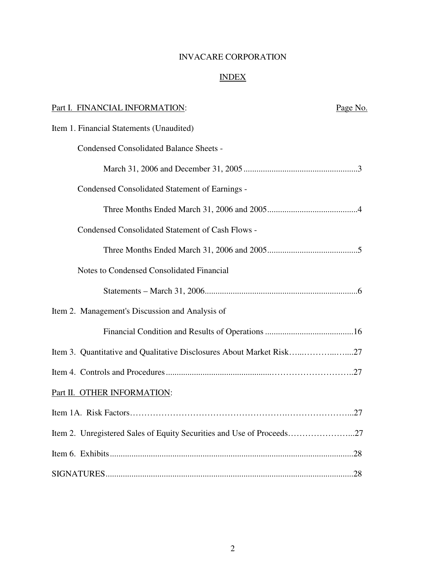## INVACARE CORPORATION

# INDEX

| Part I. FINANCIAL INFORMATION:                                        | Page No. |
|-----------------------------------------------------------------------|----------|
| Item 1. Financial Statements (Unaudited)                              |          |
| <b>Condensed Consolidated Balance Sheets -</b>                        |          |
|                                                                       |          |
| Condensed Consolidated Statement of Earnings -                        |          |
|                                                                       |          |
| <b>Condensed Consolidated Statement of Cash Flows -</b>               |          |
|                                                                       |          |
| Notes to Condensed Consolidated Financial                             |          |
|                                                                       |          |
| Item 2. Management's Discussion and Analysis of                       |          |
|                                                                       |          |
| Item 3. Quantitative and Qualitative Disclosures About Market Risk27  |          |
|                                                                       |          |
| Part II. OTHER INFORMATION:                                           |          |
|                                                                       |          |
| Item 2. Unregistered Sales of Equity Securities and Use of Proceeds27 |          |
|                                                                       |          |
|                                                                       |          |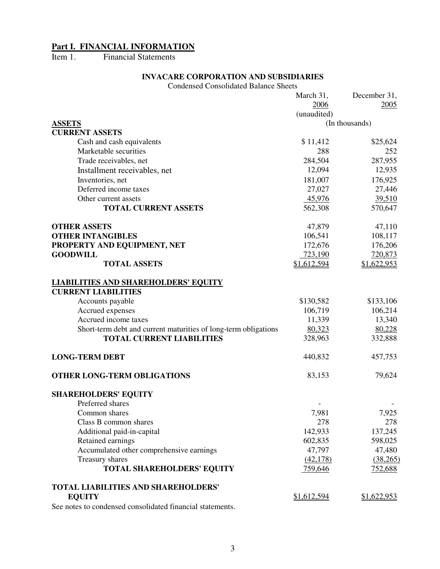#### **Part I. FINANCIAL INFORMATION**

Item 1. Financial Statements

### **INVACARE CORPORATION AND SUBSIDIARIES**

Condensed Consolidated Balance Sheets

|                                                                 | March 31,   | December 31,   |
|-----------------------------------------------------------------|-------------|----------------|
|                                                                 | 2006        | 2005           |
|                                                                 | (unaudited) |                |
| <b>ASSETS</b>                                                   |             | (In thousands) |
| <b>CURRENT ASSETS</b>                                           |             |                |
| Cash and cash equivalents                                       | \$11,412    | \$25,624       |
| Marketable securities                                           | 288         | 252            |
| Trade receivables, net                                          | 284,504     | 287,955        |
| Installment receivables, net                                    | 12,094      | 12,935         |
| Inventories, net                                                | 181,007     | 176,925        |
| Deferred income taxes                                           | 27,027      | 27,446         |
| Other current assets                                            | 45,976      | 39,510         |
| <b>TOTAL CURRENT ASSETS</b>                                     | 562,308     | 570,647        |
| <b>OTHER ASSETS</b>                                             | 47,879      | 47,110         |
| <b>OTHER INTANGIBLES</b>                                        | 106,541     | 108,117        |
| PROPERTY AND EQUIPMENT, NET                                     | 172,676     | 176,206        |
| <b>GOODWILL</b>                                                 | 723,190     | 720,873        |
| <b>TOTAL ASSETS</b>                                             | \$1,612,594 | \$1,622,953    |
| <b>LIABILITIES AND SHAREHOLDERS' EQUITY</b>                     |             |                |
| <b>CURRENT LIABILITIES</b>                                      |             |                |
| Accounts payable                                                | \$130,582   | \$133,106      |
| Accrued expenses                                                | 106,719     | 106,214        |
| Accrued income taxes                                            | 11,339      | 13,340         |
| Short-term debt and current maturities of long-term obligations | 80,323      | 80,228         |
| <b>TOTAL CURRENT LIABILITIES</b>                                | 328,963     | 332,888        |
| <b>LONG-TERM DEBT</b>                                           | 440,832     | 457,753        |
| OTHER LONG-TERM OBLIGATIONS                                     | 83,153      | 79,624         |
| <b>SHAREHOLDERS' EQUITY</b>                                     |             |                |
| Preferred shares                                                |             |                |
| Common shares                                                   | 7,981       | 7,925          |
| Class B common shares                                           | 278         | 278            |
| Additional paid-in-capital                                      | 142,933     | 137,245        |
| Retained earnings                                               | 602,835     | 598,025        |
| Accumulated other comprehensive earnings                        | 47,797      | 47,480         |
| Treasury shares                                                 | (42, 178)   | (38,265)       |
| <b>TOTAL SHAREHOLDERS' EQUITY</b>                               | 759,646     | 752,688        |
| <b>TOTAL LIABILITIES AND SHAREHOLDERS'</b>                      |             |                |
| <b>EQUITY</b>                                                   | \$1,612,594 | \$1,622,953    |

See notes to condensed consolidated financial statements.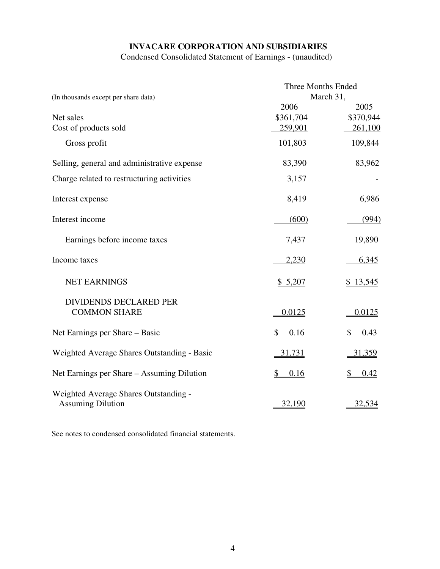# **INVACARE CORPORATION AND SUBSIDIARIES**

Condensed Consolidated Statement of Earnings - (unaudited)

|                                                                   | Three Months Ended |                       |  |
|-------------------------------------------------------------------|--------------------|-----------------------|--|
| (In thousands except per share data)                              | March 31,          |                       |  |
|                                                                   | 2006               | 2005                  |  |
| Net sales                                                         | \$361,704          | \$370,944             |  |
| Cost of products sold                                             | <u>259,901</u>     | <u>261,100</u>        |  |
| Gross profit                                                      | 101,803            | 109,844               |  |
| Selling, general and administrative expense                       | 83,390             | 83,962                |  |
| Charge related to restructuring activities                        | 3,157              |                       |  |
| Interest expense                                                  | 8,419              | 6,986                 |  |
| Interest income                                                   | (600)              | (994)                 |  |
| Earnings before income taxes                                      | 7,437              | 19,890                |  |
| Income taxes                                                      | 2,230              | 6,345                 |  |
| <b>NET EARNINGS</b>                                               | \$5,207            | \$13,545              |  |
|                                                                   |                    |                       |  |
| <b>DIVIDENDS DECLARED PER</b><br><b>COMMON SHARE</b>              | 0.0125             | 0.0125                |  |
| Net Earnings per Share – Basic                                    | \$<br>0.16         | 0.43<br>S             |  |
| Weighted Average Shares Outstanding - Basic                       | 31,731             | <u>31,359</u>         |  |
| Net Earnings per Share - Assuming Dilution                        | \$<br>0.16         | $\frac{1}{2}$<br>0.42 |  |
| Weighted Average Shares Outstanding -<br><b>Assuming Dilution</b> | 32,190             | 32,534                |  |

See notes to condensed consolidated financial statements.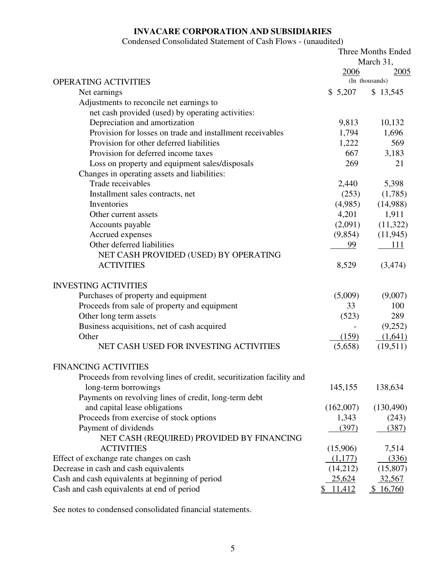# **INVACARE CORPORATION AND SUBSIDIARIES**

## Condensed Consolidated Statement of Cash Flows - (unaudited)

|                                                                      | Three Months Ended |                        |
|----------------------------------------------------------------------|--------------------|------------------------|
|                                                                      |                    | March 31,              |
| <b>OPERATING ACTIVITIES</b>                                          | 2006               | 2005<br>(In thousands) |
| Net earnings                                                         | \$5,207            | \$13,545               |
| Adjustments to reconcile net earnings to                             |                    |                        |
| net cash provided (used) by operating activities:                    |                    |                        |
| Depreciation and amortization                                        | 9,813              | 10,132                 |
| Provision for losses on trade and installment receivables            | 1,794              | 1,696                  |
| Provision for other deferred liabilities                             | 1,222              | 569                    |
| Provision for deferred income taxes                                  | 667                | 3,183                  |
| Loss on property and equipment sales/disposals                       | 269                | 21                     |
| Changes in operating assets and liabilities:                         |                    |                        |
| Trade receivables                                                    | 2,440              | 5,398                  |
| Installment sales contracts, net                                     | (253)              | (1,785)                |
| Inventories                                                          | (4,985)            | (14,988)               |
| Other current assets                                                 | 4,201              | 1,911                  |
| Accounts payable                                                     | (2,091)            | (11,322)               |
| Accrued expenses                                                     | (9,854)            | (11, 945)              |
| Other deferred liabilities                                           | 99                 | 111                    |
| NET CASH PROVIDED (USED) BY OPERATING                                |                    |                        |
| <b>ACTIVITIES</b>                                                    | 8,529              | (3,474)                |
| <b>INVESTING ACTIVITIES</b>                                          |                    |                        |
| Purchases of property and equipment                                  | (5,009)            | (9,007)                |
| Proceeds from sale of property and equipment                         | 33                 | 100                    |
| Other long term assets                                               | (523)              | 289                    |
| Business acquisitions, net of cash acquired                          |                    | (9,252)                |
| Other                                                                | (159)              | (1,641)                |
| NET CASH USED FOR INVESTING ACTIVITIES                               | (5,658)            | (19,511)               |
| <b>FINANCING ACTIVITIES</b>                                          |                    |                        |
| Proceeds from revolving lines of credit, securitization facility and |                    |                        |
| long-term borrowings                                                 | 145,155            | 138,634                |
| Payments on revolving lines of credit, long-term debt                |                    |                        |
| and capital lease obligations                                        | (162,007)          | (130, 490)             |
| Proceeds from exercise of stock options                              | 1,343              | (243)                  |
| Payment of dividends                                                 | (397)              | (387)                  |
| NET CASH (REQUIRED) PROVIDED BY FINANCING                            |                    |                        |
| <b>ACTIVITIES</b>                                                    | (15,906)           | 7,514                  |
| Effect of exchange rate changes on cash                              | (1,177)            | (336)                  |
| Decrease in cash and cash equivalents                                | (14,212)           | (15,807)               |
| Cash and cash equivalents at beginning of period                     | 25,624             | 32,567                 |
| Cash and cash equivalents at end of period                           | 11,412             | 16,760                 |

See notes to condensed consolidated financial statements.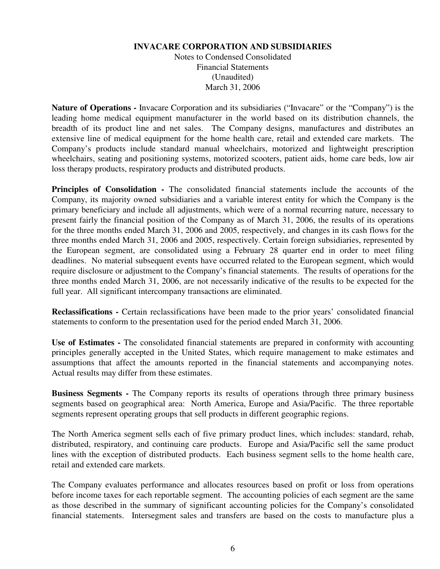#### **INVACARE CORPORATION AND SUBSIDIARIES**

Notes to Condensed Consolidated Financial Statements (Unaudited) March 31, 2006

**Nature of Operations -** Invacare Corporation and its subsidiaries ("Invacare" or the "Company") is the leading home medical equipment manufacturer in the world based on its distribution channels, the breadth of its product line and net sales. The Company designs, manufactures and distributes an extensive line of medical equipment for the home health care, retail and extended care markets. The Company's products include standard manual wheelchairs, motorized and lightweight prescription wheelchairs, seating and positioning systems, motorized scooters, patient aids, home care beds, low air loss therapy products, respiratory products and distributed products.

**Principles of Consolidation -** The consolidated financial statements include the accounts of the Company, its majority owned subsidiaries and a variable interest entity for which the Company is the primary beneficiary and include all adjustments, which were of a normal recurring nature, necessary to present fairly the financial position of the Company as of March 31, 2006, the results of its operations for the three months ended March 31, 2006 and 2005, respectively, and changes in its cash flows for the three months ended March 31, 2006 and 2005, respectively. Certain foreign subsidiaries, represented by the European segment, are consolidated using a February 28 quarter end in order to meet filing deadlines. No material subsequent events have occurred related to the European segment, which would require disclosure or adjustment to the Company's financial statements. The results of operations for the three months ended March 31, 2006, are not necessarily indicative of the results to be expected for the full year. All significant intercompany transactions are eliminated.

**Reclassifications -** Certain reclassifications have been made to the prior years' consolidated financial statements to conform to the presentation used for the period ended March 31, 2006.

**Use of Estimates -** The consolidated financial statements are prepared in conformity with accounting principles generally accepted in the United States, which require management to make estimates and assumptions that affect the amounts reported in the financial statements and accompanying notes. Actual results may differ from these estimates.

**Business Segments -** The Company reports its results of operations through three primary business segments based on geographical area: North America, Europe and Asia/Pacific. The three reportable segments represent operating groups that sell products in different geographic regions.

The North America segment sells each of five primary product lines, which includes: standard, rehab, distributed, respiratory, and continuing care products. Europe and Asia/Pacific sell the same product lines with the exception of distributed products. Each business segment sells to the home health care, retail and extended care markets.

The Company evaluates performance and allocates resources based on profit or loss from operations before income taxes for each reportable segment. The accounting policies of each segment are the same as those described in the summary of significant accounting policies for the Company's consolidated financial statements. Intersegment sales and transfers are based on the costs to manufacture plus a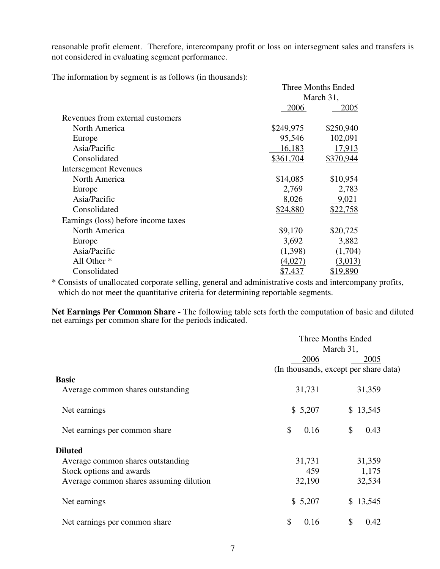reasonable profit element. Therefore, intercompany profit or loss on intersegment sales and transfers is not considered in evaluating segment performance.

The information by segment is as follows (in thousands):

|                                     | Three Months Ended |                 |  |
|-------------------------------------|--------------------|-----------------|--|
|                                     |                    | March 31,       |  |
|                                     | 2006               | 2005            |  |
| Revenues from external customers    |                    |                 |  |
| North America                       | \$249,975          | \$250,940       |  |
| Europe                              | 95,546             | 102,091         |  |
| Asia/Pacific                        | 16,183             | 17,913          |  |
| Consolidated                        | <u>\$361,704</u>   | \$370,944       |  |
| <b>Intersegment Revenues</b>        |                    |                 |  |
| North America                       | \$14,085           | \$10,954        |  |
| Europe                              | 2,769              | 2,783           |  |
| Asia/Pacific                        | 8,026              | 9,021           |  |
| Consolidated                        | \$24,880           | <u>\$22,758</u> |  |
| Earnings (loss) before income taxes |                    |                 |  |
| North America                       | \$9,170            | \$20,725        |  |
| Europe                              | 3,692              | 3,882           |  |
| Asia/Pacific                        | (1,398)            | (1,704)         |  |
| All Other <sup>*</sup>              | (4,027)            | (3,013)         |  |
| Consolidated                        | <u>\$7,437</u>     | \$19,890        |  |

\* Consists of unallocated corporate selling, general and administrative costs and intercompany profits, which do not meet the quantitative criteria for determining reportable segments.

**Net Earnings Per Common Share -** The following table sets forth the computation of basic and diluted net earnings per common share for the periods indicated.

|                                                                                                                            | Three Months Ended<br>March 31,<br>2006<br>2005<br>(In thousands, except per share data) |                           |  |
|----------------------------------------------------------------------------------------------------------------------------|------------------------------------------------------------------------------------------|---------------------------|--|
| <b>Basic</b><br>Average common shares outstanding                                                                          | 31,731                                                                                   | 31,359                    |  |
| Net earnings                                                                                                               | \$5,207                                                                                  | \$13,545                  |  |
| Net earnings per common share                                                                                              | \$<br>0.16                                                                               | \$<br>0.43                |  |
| <b>Diluted</b><br>Average common shares outstanding<br>Stock options and awards<br>Average common shares assuming dilution | 31,731<br>459<br>32,190                                                                  | 31,359<br>1,175<br>32,534 |  |
| Net earnings                                                                                                               | \$5,207                                                                                  | \$13,545                  |  |
| Net earnings per common share                                                                                              | \$<br>0.16                                                                               | \$<br>0.42                |  |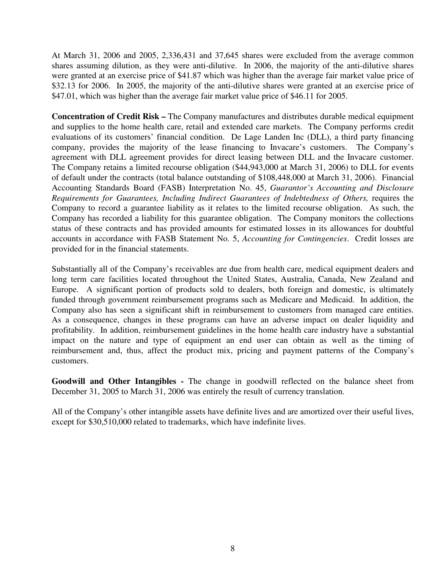At March 31, 2006 and 2005, 2,336,431 and 37,645 shares were excluded from the average common shares assuming dilution, as they were anti-dilutive. In 2006, the majority of the anti-dilutive shares were granted at an exercise price of \$41.87 which was higher than the average fair market value price of \$32.13 for 2006. In 2005, the majority of the anti-dilutive shares were granted at an exercise price of \$47.01, which was higher than the average fair market value price of \$46.11 for 2005.

**Concentration of Credit Risk –** The Company manufactures and distributes durable medical equipment and supplies to the home health care, retail and extended care markets. The Company performs credit evaluations of its customers' financial condition. De Lage Landen Inc (DLL), a third party financing company, provides the majority of the lease financing to Invacare's customers. The Company's agreement with DLL agreement provides for direct leasing between DLL and the Invacare customer. The Company retains a limited recourse obligation (\$44,943,000 at March 31, 2006) to DLL for events of default under the contracts (total balance outstanding of \$108,448,000 at March 31, 2006). Financial Accounting Standards Board (FASB) Interpretation No. 45, *Guarantor's Accounting and Disclosure Requirements for Guarantees, Including Indirect Guarantees of Indebtedness of Others,* requires the Company to record a guarantee liability as it relates to the limited recourse obligation. As such, the Company has recorded a liability for this guarantee obligation. The Company monitors the collections status of these contracts and has provided amounts for estimated losses in its allowances for doubtful accounts in accordance with FASB Statement No. 5, *Accounting for Contingencies*. Credit losses are provided for in the financial statements.

Substantially all of the Company's receivables are due from health care, medical equipment dealers and long term care facilities located throughout the United States, Australia, Canada, New Zealand and Europe. A significant portion of products sold to dealers, both foreign and domestic, is ultimately funded through government reimbursement programs such as Medicare and Medicaid. In addition, the Company also has seen a significant shift in reimbursement to customers from managed care entities. As a consequence, changes in these programs can have an adverse impact on dealer liquidity and profitability. In addition, reimbursement guidelines in the home health care industry have a substantial impact on the nature and type of equipment an end user can obtain as well as the timing of reimbursement and, thus, affect the product mix, pricing and payment patterns of the Company's customers.

**Goodwill and Other Intangibles -** The change in goodwill reflected on the balance sheet from December 31, 2005 to March 31, 2006 was entirely the result of currency translation.

All of the Company's other intangible assets have definite lives and are amortized over their useful lives, except for \$30,510,000 related to trademarks, which have indefinite lives.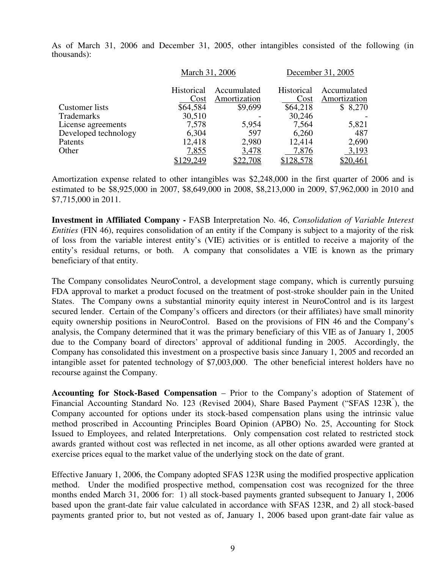As of March 31, 2006 and December 31, 2005, other intangibles consisted of the following (in thousands):

|                       |                   | March 31, 2006 |                   | December 31, 2005 |
|-----------------------|-------------------|----------------|-------------------|-------------------|
|                       | <b>Historical</b> | Accumulated    | <b>Historical</b> | Accumulated       |
|                       | Cost              | Amortization   | Cost              | Amortization      |
| <b>Customer</b> lists | \$64,584          | \$9,699        | \$64,218          | \$8,270           |
| Trademarks            | 30,510            |                | 30,246            |                   |
| License agreements    | 7,578             | 5,954          | 7,564             | 5,821             |
| Developed technology  | 6,304             | 597            | 6,260             | 487               |
| Patents               | 12,418            | 2,980          | 12,414            | 2,690             |
| Other                 | 7,855             | 3,478          | 7,876             | 3,193             |
|                       | \$129,249         | \$22,708       | \$128,578         | <u>\$20,461</u>   |

Amortization expense related to other intangibles was \$2,248,000 in the first quarter of 2006 and is estimated to be \$8,925,000 in 2007, \$8,649,000 in 2008, \$8,213,000 in 2009, \$7,962,000 in 2010 and \$7,715,000 in 2011.

**Investment in Affiliated Company -** FASB Interpretation No. 46, *Consolidation of Variable Interest Entities* (FIN 46), requires consolidation of an entity if the Company is subject to a majority of the risk of loss from the variable interest entity's (VIE) activities or is entitled to receive a majority of the entity's residual returns, or both. A company that consolidates a VIE is known as the primary beneficiary of that entity.

The Company consolidates NeuroControl, a development stage company, which is currently pursuing FDA approval to market a product focused on the treatment of post-stroke shoulder pain in the United States. The Company owns a substantial minority equity interest in NeuroControl and is its largest secured lender. Certain of the Company's officers and directors (or their affiliates) have small minority equity ownership positions in NeuroControl. Based on the provisions of FIN 46 and the Company's analysis, the Company determined that it was the primary beneficiary of this VIE as of January 1, 2005 due to the Company board of directors' approval of additional funding in 2005. Accordingly, the Company has consolidated this investment on a prospective basis since January 1, 2005 and recorded an intangible asset for patented technology of \$7,003,000. The other beneficial interest holders have no recourse against the Company.

**Accounting for Stock-Based Compensation** – Prior to the Company's adoption of Statement of Financial Accounting Standard No. 123 (Revised 2004), Share Based Payment ("SFAS 123R<sup>"</sup>), the Company accounted for options under its stock-based compensation plans using the intrinsic value method proscribed in Accounting Principles Board Opinion (APBO) No. 25, Accounting for Stock Issued to Employees, and related Interpretations. Only compensation cost related to restricted stock awards granted without cost was reflected in net income, as all other options awarded were granted at exercise prices equal to the market value of the underlying stock on the date of grant.

Effective January 1, 2006, the Company adopted SFAS 123R using the modified prospective application method. Under the modified prospective method, compensation cost was recognized for the three months ended March 31, 2006 for: 1) all stock-based payments granted subsequent to January 1, 2006 based upon the grant-date fair value calculated in accordance with SFAS 123R, and 2) all stock-based payments granted prior to, but not vested as of, January 1, 2006 based upon grant-date fair value as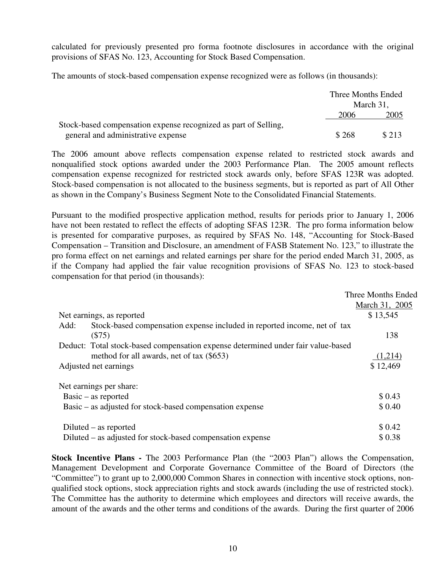calculated for previously presented pro forma footnote disclosures in accordance with the original provisions of SFAS No. 123, Accounting for Stock Based Compensation.

The amounts of stock-based compensation expense recognized were as follows (in thousands):

|                                                                 | Three Months Ended |       |
|-----------------------------------------------------------------|--------------------|-------|
|                                                                 | March 31,          |       |
|                                                                 | 2006               | 2005  |
| Stock-based compensation expense recognized as part of Selling, |                    |       |
| general and administrative expense                              | \$268              | \$213 |

The 2006 amount above reflects compensation expense related to restricted stock awards and nonqualified stock options awarded under the 2003 Performance Plan. The 2005 amount reflects compensation expense recognized for restricted stock awards only, before SFAS 123R was adopted. Stock-based compensation is not allocated to the business segments, but is reported as part of All Other as shown in the Company's Business Segment Note to the Consolidated Financial Statements.

Pursuant to the modified prospective application method, results for periods prior to January 1, 2006 have not been restated to reflect the effects of adopting SFAS 123R. The pro forma information below is presented for comparative purposes, as required by SFAS No. 148, "Accounting for Stock-Based Compensation – Transition and Disclosure, an amendment of FASB Statement No. 123," to illustrate the pro forma effect on net earnings and related earnings per share for the period ended March 31, 2005, as if the Company had applied the fair value recognition provisions of SFAS No. 123 to stock-based compensation for that period (in thousands):

|                                                                                  | Three Months Ended |
|----------------------------------------------------------------------------------|--------------------|
|                                                                                  | March 31, 2005     |
| Net earnings, as reported                                                        | \$13,545           |
| Stock-based compensation expense included in reported income, net of tax<br>Add: |                    |
| (S75)                                                                            | 138                |
| Deduct: Total stock-based compensation expense determined under fair value-based |                    |
| method for all awards, net of tax (\$653)                                        | (1,214)            |
| Adjusted net earnings                                                            | \$12,469           |
| Net earnings per share:                                                          |                    |
| $Basic - as reported$                                                            | \$0.43             |
| Basic – as adjusted for stock-based compensation expense                         | \$0.40             |
| Diluted – as reported                                                            | \$0.42             |
| Diluted – as adjusted for stock-based compensation expense                       | \$0.38             |

**Stock Incentive Plans -** The 2003 Performance Plan (the "2003 Plan") allows the Compensation, Management Development and Corporate Governance Committee of the Board of Directors (the "Committee") to grant up to 2,000,000 Common Shares in connection with incentive stock options, nonqualified stock options, stock appreciation rights and stock awards (including the use of restricted stock). The Committee has the authority to determine which employees and directors will receive awards, the amount of the awards and the other terms and conditions of the awards. During the first quarter of 2006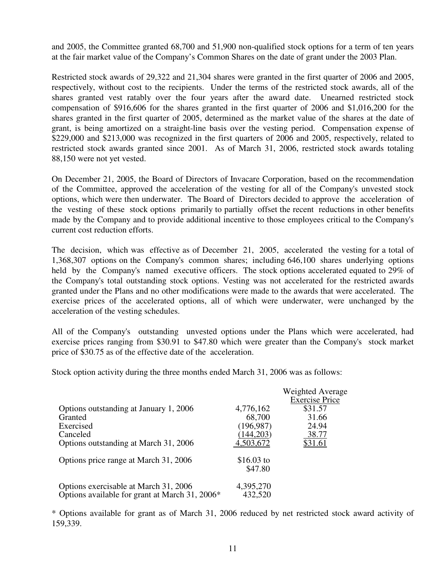and 2005, the Committee granted 68,700 and 51,900 non-qualified stock options for a term of ten years at the fair market value of the Company's Common Shares on the date of grant under the 2003 Plan.

Restricted stock awards of 29,322 and 21,304 shares were granted in the first quarter of 2006 and 2005, respectively, without cost to the recipients. Under the terms of the restricted stock awards, all of the shares granted vest ratably over the four years after the award date. Unearned restricted stock compensation of \$916,606 for the shares granted in the first quarter of 2006 and \$1,016,200 for the shares granted in the first quarter of 2005, determined as the market value of the shares at the date of grant, is being amortized on a straight-line basis over the vesting period. Compensation expense of \$229,000 and \$213,000 was recognized in the first quarters of 2006 and 2005, respectively, related to restricted stock awards granted since 2001. As of March 31, 2006, restricted stock awards totaling 88,150 were not yet vested.

On December 21, 2005, the Board of Directors of Invacare Corporation, based on the recommendation of the Committee, approved the acceleration of the vesting for all of the Company's unvested stock options, which were then underwater. The Board of Directors decided to approve the acceleration of the vesting of these stock options primarily to partially offset the recent reductions in other benefits made by the Company and to provide additional incentive to those employees critical to the Company's current cost reduction efforts.

The decision, which was effective as of December 21, 2005, accelerated the vesting for a total of 1,368,307 options on the Company's common shares; including 646,100 shares underlying options held by the Company's named executive officers. The stock options accelerated equated to 29% of the Company's total outstanding stock options. Vesting was not accelerated for the restricted awards granted under the Plans and no other modifications were made to the awards that were accelerated. The exercise prices of the accelerated options, all of which were underwater, were unchanged by the acceleration of the vesting schedules.

All of the Company's outstanding unvested options under the Plans which were accelerated, had exercise prices ranging from \$30.91 to \$47.80 which were greater than the Company's stock market price of \$30.75 as of the effective date of the acceleration.

Stock option activity during the three months ended March 31, 2006 was as follows:

|                                                |            | Weighted Average<br><b>Exercise Price</b> |
|------------------------------------------------|------------|-------------------------------------------|
| Options outstanding at January 1, 2006         | 4,776,162  | \$31.57                                   |
| Granted                                        | 68,700     | 31.66                                     |
| Exercised                                      | (196, 987) | 24.94                                     |
| Canceled                                       | (144, 203) | 38.77                                     |
| Options outstanding at March 31, 2006          | 4,503,672  | \$31.61                                   |
| Options price range at March 31, 2006          | \$16.03 to |                                           |
|                                                | \$47.80    |                                           |
| Options exercisable at March 31, 2006          | 4,395,270  |                                           |
| Options available for grant at March 31, 2006* | 432,520    |                                           |

\* Options available for grant as of March 31, 2006 reduced by net restricted stock award activity of 159,339.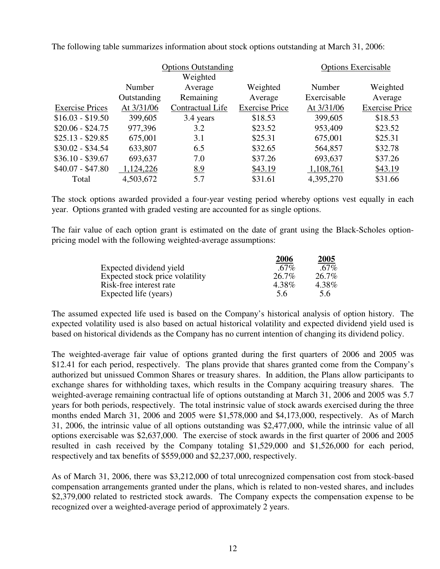|             |                  |                       |                            | <b>Options Exercisable</b> |
|-------------|------------------|-----------------------|----------------------------|----------------------------|
|             | Weighted         |                       |                            |                            |
| Number      | Average          | Weighted              | Number                     | Weighted                   |
| Outstanding | Remaining        | Average               | Exercisable                | Average                    |
| At 3/31/06  | Contractual Life | <b>Exercise Price</b> | At 3/31/06                 | <b>Exercise Price</b>      |
| 399,605     | 3.4 years        | \$18.53               | 399,605                    | \$18.53                    |
| 977,396     | 3.2              | \$23.52               | 953,409                    | \$23.52                    |
| 675,001     | 3.1              | \$25.31               | 675,001                    | \$25.31                    |
| 633,807     | 6.5              | \$32.65               | 564,857                    | \$32.78                    |
| 693,637     | 7.0              | \$37.26               | 693,637                    | \$37.26                    |
| 1,124,226   | 8.9              | \$43.19               | 1,108,761                  | \$43.19                    |
| 4,503,672   | 5.7              | \$31.61               | 4,395,270                  | \$31.66                    |
|             |                  |                       | <b>Options Outstanding</b> |                            |

The following table summarizes information about stock options outstanding at March 31, 2006:

The stock options awarded provided a four-year vesting period whereby options vest equally in each year. Options granted with graded vesting are accounted for as single options.

The fair value of each option grant is estimated on the date of grant using the Black-Scholes optionpricing model with the following weighted-average assumptions:

|                                 | 2006    | 2005    |
|---------------------------------|---------|---------|
| Expected dividend yield         | $.67\%$ | $.67\%$ |
| Expected stock price volatility | 26.7%   | 26.7%   |
| Risk-free interest rate         | 4.38%   | 4.38%   |
| Expected life (years)           | 5.6     | 5.6     |

The assumed expected life used is based on the Company's historical analysis of option history. The expected volatility used is also based on actual historical volatility and expected dividend yield used is based on historical dividends as the Company has no current intention of changing its dividend policy.

The weighted-average fair value of options granted during the first quarters of 2006 and 2005 was \$12.41 for each period, respectively. The plans provide that shares granted come from the Company's authorized but unissued Common Shares or treasury shares. In addition, the Plans allow participants to exchange shares for withholding taxes, which results in the Company acquiring treasury shares. The weighted-average remaining contractual life of options outstanding at March 31, 2006 and 2005 was 5.7 years for both periods, respectively. The total instrinsic value of stock awards exercised during the three months ended March 31, 2006 and 2005 were \$1,578,000 and \$4,173,000, respectively. As of March 31, 2006, the intrinsic value of all options outstanding was \$2,477,000, while the intrinsic value of all options exercisable was \$2,637,000. The exercise of stock awards in the first quarter of 2006 and 2005 resulted in cash received by the Company totaling \$1,529,000 and \$1,526,000 for each period, respectively and tax benefits of \$559,000 and \$2,237,000, respectively.

As of March 31, 2006, there was \$3,212,000 of total unrecognized compensation cost from stock-based compensation arrangements granted under the plans, which is related to non-vested shares, and includes \$2,379,000 related to restricted stock awards. The Company expects the compensation expense to be recognized over a weighted-average period of approximately 2 years.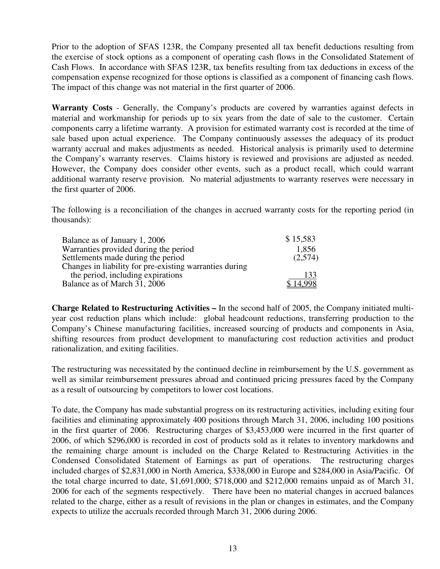Prior to the adoption of SFAS 123R, the Company presented all tax benefit deductions resulting from the exercise of stock options as a component of operating cash flows in the Consolidated Statement of Cash Flows. In accordance with SFAS 123R, tax benefits resulting from tax deductions in excess of the compensation expense recognized for those options is classified as a component of financing cash flows. The impact of this change was not material in the first quarter of 2006.

**Warranty Costs** - Generally, the Company's products are covered by warranties against defects in material and workmanship for periods up to six years from the date of sale to the customer. Certain components carry a lifetime warranty. A provision for estimated warranty cost is recorded at the time of sale based upon actual experience. The Company continuously assesses the adequacy of its product warranty accrual and makes adjustments as needed. Historical analysis is primarily used to determine the Company's warranty reserves. Claims history is reviewed and provisions are adjusted as needed. However, the Company does consider other events, such as a product recall, which could warrant additional warranty reserve provision. No material adjustments to warranty reserves were necessary in the first quarter of 2006.

The following is a reconciliation of the changes in accrued warranty costs for the reporting period (in thousands):

| Balance as of January 1, 2006                           | \$15,583 |
|---------------------------------------------------------|----------|
| Warranties provided during the period                   | 1,856    |
| Settlements made during the period                      | (2,574)  |
| Changes in liability for pre-existing warranties during |          |
| the period, including expirations                       | 133      |
| Balance as of March 31, 2006                            | \$14.998 |

**Charge Related to Restructuring Activities –** In the second half of 2005, the Company initiated multiyear cost reduction plans which include: global headcount reductions, transferring production to the Company's Chinese manufacturing facilities, increased sourcing of products and components in Asia, shifting resources from product development to manufacturing cost reduction activities and product rationalization, and exiting facilities.

The restructuring was necessitated by the continued decline in reimbursement by the U.S. government as well as similar reimbursement pressures abroad and continued pricing pressures faced by the Company as a result of outsourcing by competitors to lower cost locations.

To date, the Company has made substantial progress on its restructuring activities, including exiting four facilities and eliminating approximately 400 positions through March 31, 2006, including 100 positions in the first quarter of 2006. Restructuring charges of \$3,453,000 were incurred in the first quarter of 2006, of which \$296,000 is recorded in cost of products sold as it relates to inventory markdowns and the remaining charge amount is included on the Charge Related to Restructuring Activities in the Condensed Consolidated Statement of Earnings as part of operations. The restructuring charges included charges of \$2,831,000 in North America, \$338,000 in Europe and \$284,000 in Asia/Pacific. Of the total charge incurred to date, \$1,691,000; \$718,000 and \$212,000 remains unpaid as of March 31, 2006 for each of the segments respectively. There have been no material changes in accrued balances related to the charge, either as a result of revisions in the plan or changes in estimates, and the Company expects to utilize the accruals recorded through March 31, 2006 during 2006.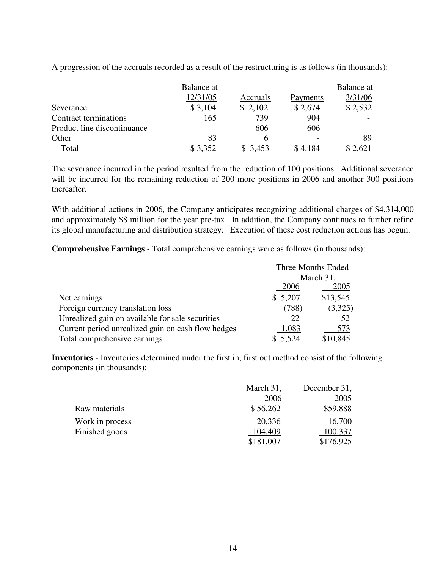|                             | Balance at |          |          | Balance at |
|-----------------------------|------------|----------|----------|------------|
|                             | 12/31/05   | Accruals | Payments | 3/31/06    |
| Severance                   | \$3,104    | \$2,102  | \$2,674  | \$2,532    |
| Contract terminations       | 165        | 739      | 904      |            |
| Product line discontinuance |            | 606      | 606      |            |
| Other                       |            |          |          | 89         |
| Total                       |            |          |          |            |

A progression of the accruals recorded as a result of the restructuring is as follows (in thousands):

The severance incurred in the period resulted from the reduction of 100 positions. Additional severance will be incurred for the remaining reduction of 200 more positions in 2006 and another 300 positions thereafter.

With additional actions in 2006, the Company anticipates recognizing additional charges of \$4,314,000 and approximately \$8 million for the year pre-tax. In addition, the Company continues to further refine its global manufacturing and distribution strategy. Execution of these cost reduction actions has begun.

**Comprehensive Earnings -** Total comprehensive earnings were as follows (in thousands):

|                                                    | Three Months Ended |           |
|----------------------------------------------------|--------------------|-----------|
|                                                    |                    | March 31, |
|                                                    | 2006               | 2005      |
| Net earnings                                       | \$5,207            | \$13,545  |
| Foreign currency translation loss                  | (788)              | (3,325)   |
| Unrealized gain on available for sale securities   | 22                 | 52        |
| Current period unrealized gain on cash flow hedges | 1,083              | 573       |
| Total comprehensive earnings                       | 5,524              | \$10,845  |

**Inventories** - Inventories determined under the first in, first out method consist of the following components (in thousands):

|                 | March 31, | December 31, |
|-----------------|-----------|--------------|
|                 | 2006      | 2005         |
| Raw materials   | \$56,262  | \$59,888     |
| Work in process | 20,336    | 16,700       |
| Finished goods  | 104,409   | 100,337      |
|                 | 181,007   | \$176,925    |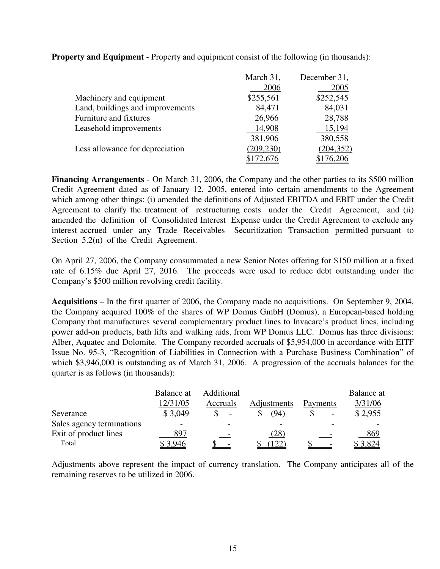|                                  | March 31,  | December 31, |
|----------------------------------|------------|--------------|
|                                  | 2006       | 2005         |
| Machinery and equipment          | \$255,561  | \$252,545    |
| Land, buildings and improvements | 84,471     | 84,031       |
| Furniture and fixtures           | 26,966     | 28,788       |
| Leasehold improvements           | 14,908     | 15,194       |
|                                  | 381,906    | 380,558      |
| Less allowance for depreciation  | (209, 230) | (204, 352)   |
|                                  | \$172,676  | \$176,206    |

**Property and Equipment -** Property and equipment consist of the following (in thousands):

**Financing Arrangements** - On March 31, 2006, the Company and the other parties to its \$500 million Credit Agreement dated as of January 12, 2005, entered into certain amendments to the Agreement which among other things: (i) amended the definitions of Adjusted EBITDA and EBIT under the Credit Agreement to clarify the treatment of restructuring costs under the Credit Agreement, and (ii) amended the definition of Consolidated Interest Expense under the Credit Agreement to exclude any interest accrued under any Trade Receivables Securitization Transaction permitted pursuant to Section 5.2(n) of the Credit Agreement.

On April 27, 2006, the Company consummated a new Senior Notes offering for \$150 million at a fixed rate of 6.15% due April 27, 2016. The proceeds were used to reduce debt outstanding under the Company's \$500 million revolving credit facility.

**Acquisitions** – In the first quarter of 2006, the Company made no acquisitions. On September 9, 2004, the Company acquired 100% of the shares of WP Domus GmbH (Domus), a European-based holding Company that manufactures several complementary product lines to Invacare's product lines, including power add-on products, bath lifts and walking aids, from WP Domus LLC. Domus has three divisions: Alber, Aquatec and Dolomite. The Company recorded accruals of \$5,954,000 in accordance with EITF Issue No. 95-3, "Recognition of Liabilities in Connection with a Purchase Business Combination" of which \$3,946,000 is outstanding as of March 31, 2006. A progression of the accruals balances for the quarter is as follows (in thousands):

|                           | Balance at | Additional               |             |          | Balance at |
|---------------------------|------------|--------------------------|-------------|----------|------------|
|                           | 12/31/05   | Accruals                 | Adjustments | Payments | 3/31/06    |
| Severance                 | \$3,049    | $\overline{\phantom{a}}$ | (94`        |          | \$2,955    |
| Sales agency terminations |            |                          |             |          |            |
| Exit of product lines     | 897        |                          | (28)        |          | 869        |
| Total                     | 3,946      |                          |             |          | 3.824      |

Adjustments above represent the impact of currency translation. The Company anticipates all of the remaining reserves to be utilized in 2006.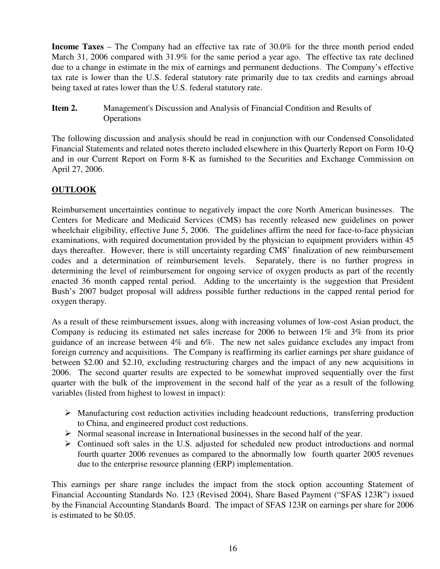**Income Taxes** – The Company had an effective tax rate of 30.0% for the three month period ended March 31, 2006 compared with 31.9% for the same period a year ago. The effective tax rate declined due to a change in estimate in the mix of earnings and permanent deductions. The Company's effective tax rate is lower than the U.S. federal statutory rate primarily due to tax credits and earnings abroad being taxed at rates lower than the U.S. federal statutory rate.

**Item 2.** Management's Discussion and Analysis of Financial Condition and Results of **Operations** 

The following discussion and analysis should be read in conjunction with our Condensed Consolidated Financial Statements and related notes thereto included elsewhere in this Quarterly Report on Form 10-Q and in our Current Report on Form 8-K as furnished to the Securities and Exchange Commission on April 27, 2006.

## **OUTLOOK**

Reimbursement uncertainties continue to negatively impact the core North American businesses. The Centers for Medicare and Medicaid Services (CMS) has recently released new guidelines on power wheelchair eligibility, effective June 5, 2006. The guidelines affirm the need for face-to-face physician examinations, with required documentation provided by the physician to equipment providers within 45 days thereafter. However, there is still uncertainty regarding CMS' finalization of new reimbursement codes and a determination of reimbursement levels. Separately, there is no further progress in determining the level of reimbursement for ongoing service of oxygen products as part of the recently enacted 36 month capped rental period. Adding to the uncertainty is the suggestion that President Bush's 2007 budget proposal will address possible further reductions in the capped rental period for oxygen therapy.

As a result of these reimbursement issues, along with increasing volumes of low-cost Asian product, the Company is reducing its estimated net sales increase for 2006 to between 1% and 3% from its prior guidance of an increase between 4% and 6%. The new net sales guidance excludes any impact from foreign currency and acquisitions. The Company is reaffirming its earlier earnings per share guidance of between \$2.00 and \$2.10, excluding restructuring charges and the impact of any new acquisitions in 2006. The second quarter results are expected to be somewhat improved sequentially over the first quarter with the bulk of the improvement in the second half of the year as a result of the following variables (listed from highest to lowest in impact):

- $\triangleright$  Manufacturing cost reduction activities including headcount reductions, transferring production to China, and engineered product cost reductions.
- $\triangleright$  Normal seasonal increase in International businesses in the second half of the year.
- $\triangleright$  Continued soft sales in the U.S. adjusted for scheduled new product introductions and normal fourth quarter 2006 revenues as compared to the abnormally low fourth quarter 2005 revenues due to the enterprise resource planning (ERP) implementation.

This earnings per share range includes the impact from the stock option accounting Statement of Financial Accounting Standards No. 123 (Revised 2004), Share Based Payment ("SFAS 123R") issued by the Financial Accounting Standards Board. The impact of SFAS 123R on earnings per share for 2006 is estimated to be \$0.05.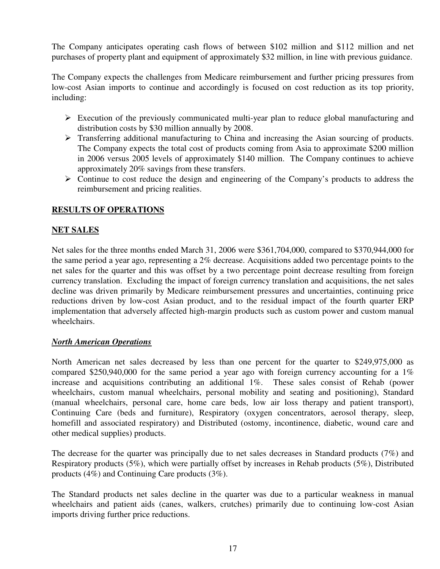The Company anticipates operating cash flows of between \$102 million and \$112 million and net purchases of property plant and equipment of approximately \$32 million, in line with previous guidance.

The Company expects the challenges from Medicare reimbursement and further pricing pressures from low-cost Asian imports to continue and accordingly is focused on cost reduction as its top priority, including:

- $\triangleright$  Execution of the previously communicated multi-year plan to reduce global manufacturing and distribution costs by \$30 million annually by 2008.
- > Transferring additional manufacturing to China and increasing the Asian sourcing of products. The Company expects the total cost of products coming from Asia to approximate \$200 million in 2006 versus 2005 levels of approximately \$140 million. The Company continues to achieve approximately 20% savings from these transfers.
- $\triangleright$  Continue to cost reduce the design and engineering of the Company's products to address the reimbursement and pricing realities.

## **RESULTS OF OPERATIONS**

### **NET SALES**

Net sales for the three months ended March 31, 2006 were \$361,704,000, compared to \$370,944,000 for the same period a year ago, representing a 2% decrease. Acquisitions added two percentage points to the net sales for the quarter and this was offset by a two percentage point decrease resulting from foreign currency translation. Excluding the impact of foreign currency translation and acquisitions, the net sales decline was driven primarily by Medicare reimbursement pressures and uncertainties, continuing price reductions driven by low-cost Asian product, and to the residual impact of the fourth quarter ERP implementation that adversely affected high-margin products such as custom power and custom manual wheelchairs.

#### *North American Operations*

North American net sales decreased by less than one percent for the quarter to \$249,975,000 as compared \$250,940,000 for the same period a year ago with foreign currency accounting for a 1% increase and acquisitions contributing an additional 1%. These sales consist of Rehab (power wheelchairs, custom manual wheelchairs, personal mobility and seating and positioning), Standard (manual wheelchairs, personal care, home care beds, low air loss therapy and patient transport), Continuing Care (beds and furniture), Respiratory (oxygen concentrators, aerosol therapy, sleep, homefill and associated respiratory) and Distributed (ostomy, incontinence, diabetic, wound care and other medical supplies) products.

The decrease for the quarter was principally due to net sales decreases in Standard products (7%) and Respiratory products (5%), which were partially offset by increases in Rehab products (5%), Distributed products (4%) and Continuing Care products (3%).

The Standard products net sales decline in the quarter was due to a particular weakness in manual wheelchairs and patient aids (canes, walkers, crutches) primarily due to continuing low-cost Asian imports driving further price reductions.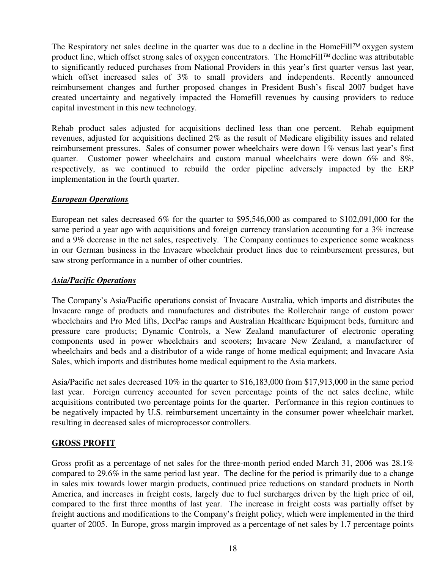The Respiratory net sales decline in the quarter was due to a decline in the HomeFill *TM* oxygen system product line, which offset strong sales of oxygen concentrators. The HomeFill *TM* decline was attributable to significantly reduced purchases from National Providers in this year's first quarter versus last year, which offset increased sales of 3% to small providers and independents. Recently announced reimbursement changes and further proposed changes in President Bush's fiscal 2007 budget have created uncertainty and negatively impacted the Homefill revenues by causing providers to reduce capital investment in this new technology.

Rehab product sales adjusted for acquisitions declined less than one percent. Rehab equipment revenues, adjusted for acquisitions declined 2% as the result of Medicare eligibility issues and related reimbursement pressures. Sales of consumer power wheelchairs were down 1% versus last year's first quarter. Customer power wheelchairs and custom manual wheelchairs were down 6% and 8%, respectively, as we continued to rebuild the order pipeline adversely impacted by the ERP implementation in the fourth quarter.

### *European Operations*

European net sales decreased 6% for the quarter to \$95,546,000 as compared to \$102,091,000 for the same period a year ago with acquisitions and foreign currency translation accounting for a 3% increase and a 9% decrease in the net sales, respectively. The Company continues to experience some weakness in our German business in the Invacare wheelchair product lines due to reimbursement pressures, but saw strong performance in a number of other countries.

#### *Asia/Pacific Operations*

The Company's Asia/Pacific operations consist of Invacare Australia, which imports and distributes the Invacare range of products and manufactures and distributes the Rollerchair range of custom power wheelchairs and Pro Med lifts, DecPac ramps and Australian Healthcare Equipment beds, furniture and pressure care products; Dynamic Controls, a New Zealand manufacturer of electronic operating components used in power wheelchairs and scooters; Invacare New Zealand, a manufacturer of wheelchairs and beds and a distributor of a wide range of home medical equipment; and Invacare Asia Sales, which imports and distributes home medical equipment to the Asia markets.

Asia/Pacific net sales decreased 10% in the quarter to \$16,183,000 from \$17,913,000 in the same period last year. Foreign currency accounted for seven percentage points of the net sales decline, while acquisitions contributed two percentage points for the quarter. Performance in this region continues to be negatively impacted by U.S. reimbursement uncertainty in the consumer power wheelchair market, resulting in decreased sales of microprocessor controllers.

### **GROSS PROFIT**

Gross profit as a percentage of net sales for the three-month period ended March 31, 2006 was 28.1% compared to 29.6% in the same period last year. The decline for the period is primarily due to a change in sales mix towards lower margin products, continued price reductions on standard products in North America, and increases in freight costs, largely due to fuel surcharges driven by the high price of oil, compared to the first three months of last year. The increase in freight costs was partially offset by freight auctions and modifications to the Company's freight policy, which were implemented in the third quarter of 2005. In Europe, gross margin improved as a percentage of net sales by 1.7 percentage points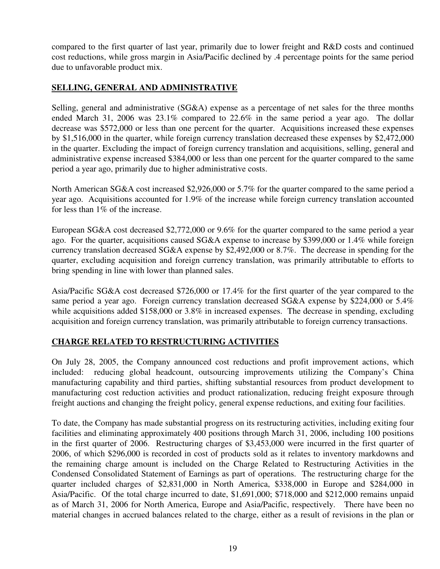compared to the first quarter of last year, primarily due to lower freight and R&D costs and continued cost reductions, while gross margin in Asia/Pacific declined by .4 percentage points for the same period due to unfavorable product mix.

### **SELLING, GENERAL AND ADMINISTRATIVE**

Selling, general and administrative (SG&A) expense as a percentage of net sales for the three months ended March 31, 2006 was 23.1% compared to 22.6% in the same period a year ago. The dollar decrease was \$572,000 or less than one percent for the quarter. Acquisitions increased these expenses by \$1,516,000 in the quarter, while foreign currency translation decreased these expenses by \$2,472,000 in the quarter. Excluding the impact of foreign currency translation and acquisitions, selling, general and administrative expense increased \$384,000 or less than one percent for the quarter compared to the same period a year ago, primarily due to higher administrative costs.

North American SG&A cost increased \$2,926,000 or 5.7% for the quarter compared to the same period a year ago. Acquisitions accounted for 1.9% of the increase while foreign currency translation accounted for less than 1% of the increase.

European SG&A cost decreased \$2,772,000 or 9.6% for the quarter compared to the same period a year ago. For the quarter, acquisitions caused SG&A expense to increase by \$399,000 or 1.4% while foreign currency translation decreased SG&A expense by \$2,492,000 or 8.7%. The decrease in spending for the quarter, excluding acquisition and foreign currency translation, was primarily attributable to efforts to bring spending in line with lower than planned sales.

Asia/Pacific SG&A cost decreased \$726,000 or 17.4% for the first quarter of the year compared to the same period a year ago. Foreign currency translation decreased SG&A expense by \$224,000 or 5.4% while acquisitions added \$158,000 or 3.8% in increased expenses. The decrease in spending, excluding acquisition and foreign currency translation, was primarily attributable to foreign currency transactions.

### **CHARGE RELATED TO RESTRUCTURING ACTIVITIES**

On July 28, 2005, the Company announced cost reductions and profit improvement actions, which included: reducing global headcount, outsourcing improvements utilizing the Company's China manufacturing capability and third parties, shifting substantial resources from product development to manufacturing cost reduction activities and product rationalization, reducing freight exposure through freight auctions and changing the freight policy, general expense reductions, and exiting four facilities.

To date, the Company has made substantial progress on its restructuring activities, including exiting four facilities and eliminating approximately 400 positions through March 31, 2006, including 100 positions in the first quarter of 2006. Restructuring charges of \$3,453,000 were incurred in the first quarter of 2006, of which \$296,000 is recorded in cost of products sold as it relates to inventory markdowns and the remaining charge amount is included on the Charge Related to Restructuring Activities in the Condensed Consolidated Statement of Earnings as part of operations. The restructuring charge for the quarter included charges of \$2,831,000 in North America, \$338,000 in Europe and \$284,000 in Asia/Pacific. Of the total charge incurred to date, \$1,691,000; \$718,000 and \$212,000 remains unpaid as of March 31, 2006 for North America, Europe and Asia/Pacific, respectively. There have been no material changes in accrued balances related to the charge, either as a result of revisions in the plan or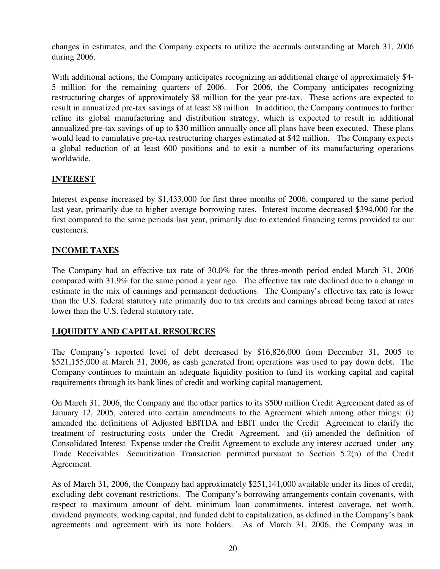changes in estimates, and the Company expects to utilize the accruals outstanding at March 31, 2006 during 2006.

With additional actions, the Company anticipates recognizing an additional charge of approximately \$4-5 million for the remaining quarters of 2006. For 2006, the Company anticipates recognizing restructuring charges of approximately \$8 million for the year pre-tax. These actions are expected to result in annualized pre-tax savings of at least \$8 million. In addition, the Company continues to further refine its global manufacturing and distribution strategy, which is expected to result in additional annualized pre-tax savings of up to \$30 million annually once all plans have been executed. These plans would lead to cumulative pre-tax restructuring charges estimated at \$42 million. The Company expects a global reduction of at least 600 positions and to exit a number of its manufacturing operations worldwide.

### **INTEREST**

Interest expense increased by \$1,433,000 for first three months of 2006, compared to the same period last year, primarily due to higher average borrowing rates. Interest income decreased \$394,000 for the first compared to the same periods last year, primarily due to extended financing terms provided to our customers.

### **INCOME TAXES**

The Company had an effective tax rate of 30.0% for the three-month period ended March 31, 2006 compared with 31.9% for the same period a year ago. The effective tax rate declined due to a change in estimate in the mix of earnings and permanent deductions. The Company's effective tax rate is lower than the U.S. federal statutory rate primarily due to tax credits and earnings abroad being taxed at rates lower than the U.S. federal statutory rate.

### **LIQUIDITY AND CAPITAL RESOURCES**

The Company's reported level of debt decreased by \$16,826,000 from December 31, 2005 to \$521,155,000 at March 31, 2006, as cash generated from operations was used to pay down debt. The Company continues to maintain an adequate liquidity position to fund its working capital and capital requirements through its bank lines of credit and working capital management.

On March 31, 2006, the Company and the other parties to its \$500 million Credit Agreement dated as of January 12, 2005, entered into certain amendments to the Agreement which among other things: (i) amended the definitions of Adjusted EBITDA and EBIT under the Credit Agreement to clarify the treatment of restructuring costs under the Credit Agreement, and (ii) amended the definition of Consolidated Interest Expense under the Credit Agreement to exclude any interest accrued under any Trade Receivables Securitization Transaction permitted pursuant to Section 5.2(n) of the Credit Agreement.

As of March 31, 2006, the Company had approximately \$251,141,000 available under its lines of credit, excluding debt covenant restrictions. The Company's borrowing arrangements contain covenants, with respect to maximum amount of debt, minimum loan commitments, interest coverage, net worth, dividend payments, working capital, and funded debt to capitalization, as defined in the Company's bank agreements and agreement with its note holders. As of March 31, 2006, the Company was in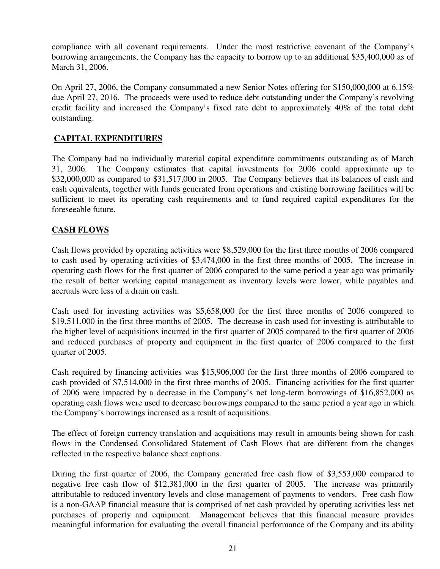compliance with all covenant requirements. Under the most restrictive covenant of the Company's borrowing arrangements, the Company has the capacity to borrow up to an additional \$35,400,000 as of March 31, 2006.

On April 27, 2006, the Company consummated a new Senior Notes offering for \$150,000,000 at 6.15% due April 27, 2016. The proceeds were used to reduce debt outstanding under the Company's revolving credit facility and increased the Company's fixed rate debt to approximately 40% of the total debt outstanding.

## **CAPITAL EXPENDITURES**

The Company had no individually material capital expenditure commitments outstanding as of March 31, 2006. The Company estimates that capital investments for 2006 could approximate up to \$32,000,000 as compared to \$31,517,000 in 2005. The Company believes that its balances of cash and cash equivalents, together with funds generated from operations and existing borrowing facilities will be sufficient to meet its operating cash requirements and to fund required capital expenditures for the foreseeable future.

## **CASH FLOWS**

Cash flows provided by operating activities were \$8,529,000 for the first three months of 2006 compared to cash used by operating activities of \$3,474,000 in the first three months of 2005. The increase in operating cash flows for the first quarter of 2006 compared to the same period a year ago was primarily the result of better working capital management as inventory levels were lower, while payables and accruals were less of a drain on cash.

Cash used for investing activities was \$5,658,000 for the first three months of 2006 compared to \$19,511,000 in the first three months of 2005. The decrease in cash used for investing is attributable to the higher level of acquisitions incurred in the first quarter of 2005 compared to the first quarter of 2006 and reduced purchases of property and equipment in the first quarter of 2006 compared to the first quarter of 2005.

Cash required by financing activities was \$15,906,000 for the first three months of 2006 compared to cash provided of \$7,514,000 in the first three months of 2005. Financing activities for the first quarter of 2006 were impacted by a decrease in the Company's net long-term borrowings of \$16,852,000 as operating cash flows were used to decrease borrowings compared to the same period a year ago in which the Company's borrowings increased as a result of acquisitions.

The effect of foreign currency translation and acquisitions may result in amounts being shown for cash flows in the Condensed Consolidated Statement of Cash Flows that are different from the changes reflected in the respective balance sheet captions.

During the first quarter of 2006, the Company generated free cash flow of \$3,553,000 compared to negative free cash flow of \$12,381,000 in the first quarter of 2005. The increase was primarily attributable to reduced inventory levels and close management of payments to vendors. Free cash flow is a non-GAAP financial measure that is comprised of net cash provided by operating activities less net purchases of property and equipment. Management believes that this financial measure provides meaningful information for evaluating the overall financial performance of the Company and its ability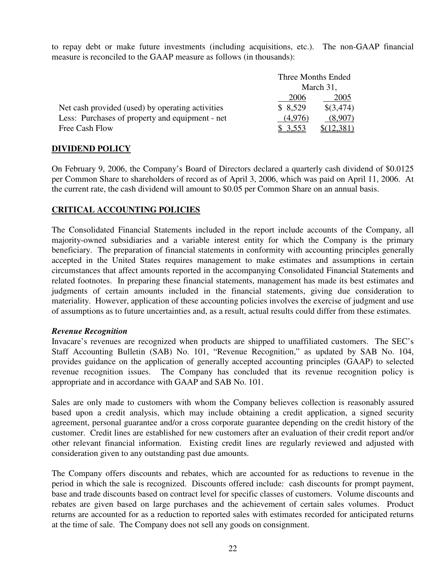to repay debt or make future investments (including acquisitions, etc.). The non-GAAP financial measure is reconciled to the GAAP measure as follows (in thousands):

|                                                  | Three Months Ended |           |
|--------------------------------------------------|--------------------|-----------|
|                                                  |                    | March 31, |
|                                                  | 2006               | 2005      |
| Net cash provided (used) by operating activities | \$8,529            | \$(3,474) |
| Less: Purchases of property and equipment - net  | (4.976)            | (8.907)   |
| Free Cash Flow                                   | \$ 3,553           |           |

### **DIVIDEND POLICY**

On February 9, 2006, the Company's Board of Directors declared a quarterly cash dividend of \$0.0125 per Common Share to shareholders of record as of April 3, 2006, which was paid on April 11, 2006. At the current rate, the cash dividend will amount to \$0.05 per Common Share on an annual basis.

### **CRITICAL ACCOUNTING POLICIES**

The Consolidated Financial Statements included in the report include accounts of the Company, all majority-owned subsidiaries and a variable interest entity for which the Company is the primary beneficiary. The preparation of financial statements in conformity with accounting principles generally accepted in the United States requires management to make estimates and assumptions in certain circumstances that affect amounts reported in the accompanying Consolidated Financial Statements and related footnotes. In preparing these financial statements, management has made its best estimates and judgments of certain amounts included in the financial statements, giving due consideration to materiality. However, application of these accounting policies involves the exercise of judgment and use of assumptions as to future uncertainties and, as a result, actual results could differ from these estimates.

#### *Revenue Recognition*

Invacare's revenues are recognized when products are shipped to unaffiliated customers. The SEC's Staff Accounting Bulletin (SAB) No. 101, "Revenue Recognition," as updated by SAB No. 104, provides guidance on the application of generally accepted accounting principles (GAAP) to selected revenue recognition issues. The Company has concluded that its revenue recognition policy is appropriate and in accordance with GAAP and SAB No. 101.

Sales are only made to customers with whom the Company believes collection is reasonably assured based upon a credit analysis, which may include obtaining a credit application, a signed security agreement, personal guarantee and/or a cross corporate guarantee depending on the credit history of the customer. Credit lines are established for new customers after an evaluation of their credit report and/or other relevant financial information. Existing credit lines are regularly reviewed and adjusted with consideration given to any outstanding past due amounts.

The Company offers discounts and rebates, which are accounted for as reductions to revenue in the period in which the sale is recognized. Discounts offered include: cash discounts for prompt payment, base and trade discounts based on contract level for specific classes of customers. Volume discounts and rebates are given based on large purchases and the achievement of certain sales volumes. Product returns are accounted for as a reduction to reported sales with estimates recorded for anticipated returns at the time of sale. The Company does not sell any goods on consignment.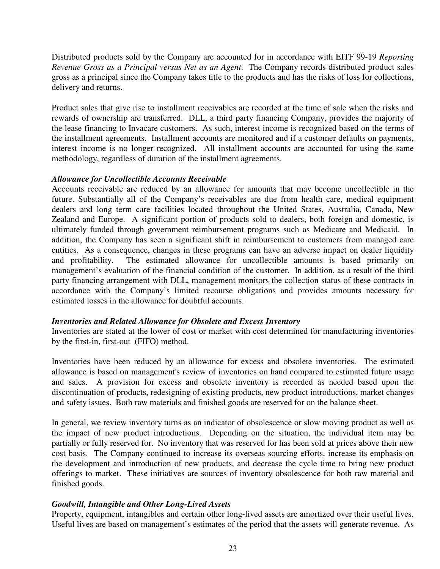Distributed products sold by the Company are accounted for in accordance with EITF 99-19 *Reporting Revenue Gross as a Principal versus Net as an Agent*. The Company records distributed product sales gross as a principal since the Company takes title to the products and has the risks of loss for collections, delivery and returns.

Product sales that give rise to installment receivables are recorded at the time of sale when the risks and rewards of ownership are transferred. DLL, a third party financing Company, provides the majority of the lease financing to Invacare customers. As such, interest income is recognized based on the terms of the installment agreements. Installment accounts are monitored and if a customer defaults on payments, interest income is no longer recognized. All installment accounts are accounted for using the same methodology, regardless of duration of the installment agreements.

#### *Allowance for Uncollectible Accounts Receivable*

Accounts receivable are reduced by an allowance for amounts that may become uncollectible in the future. Substantially all of the Company's receivables are due from health care, medical equipment dealers and long term care facilities located throughout the United States, Australia, Canada, New Zealand and Europe. A significant portion of products sold to dealers, both foreign and domestic, is ultimately funded through government reimbursement programs such as Medicare and Medicaid. In addition, the Company has seen a significant shift in reimbursement to customers from managed care entities. As a consequence, changes in these programs can have an adverse impact on dealer liquidity and profitability. The estimated allowance for uncollectible amounts is based primarily on management's evaluation of the financial condition of the customer. In addition, as a result of the third party financing arrangement with DLL, management monitors the collection status of these contracts in accordance with the Company's limited recourse obligations and provides amounts necessary for estimated losses in the allowance for doubtful accounts.

#### *Inventories and Related Allowance for Obsolete and Excess Inventory*

Inventories are stated at the lower of cost or market with cost determined for manufacturing inventories by the first-in, first-out (FIFO) method.

Inventories have been reduced by an allowance for excess and obsolete inventories. The estimated allowance is based on management's review of inventories on hand compared to estimated future usage and sales. A provision for excess and obsolete inventory is recorded as needed based upon the discontinuation of products, redesigning of existing products, new product introductions, market changes and safety issues. Both raw materials and finished goods are reserved for on the balance sheet.

In general, we review inventory turns as an indicator of obsolescence or slow moving product as well as the impact of new product introductions. Depending on the situation, the individual item may be partially or fully reserved for. No inventory that was reserved for has been sold at prices above their new cost basis. The Company continued to increase its overseas sourcing efforts, increase its emphasis on the development and introduction of new products, and decrease the cycle time to bring new product offerings to market. These initiatives are sources of inventory obsolescence for both raw material and finished goods.

#### *Goodwill, Intangible and Other Long-Lived Assets*

Property, equipment, intangibles and certain other long-lived assets are amortized over their useful lives. Useful lives are based on management's estimates of the period that the assets will generate revenue. As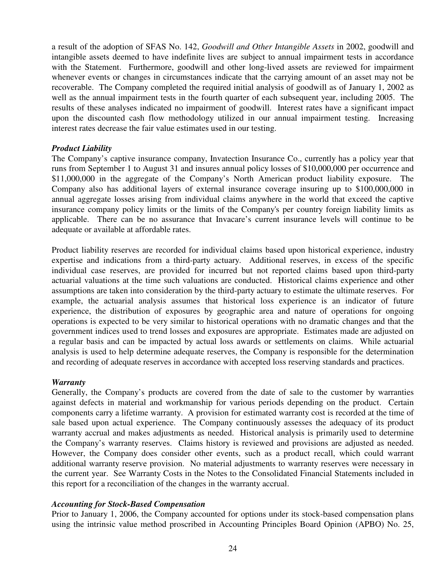a result of the adoption of SFAS No. 142, *Goodwill and Other Intangible Assets* in 2002, goodwill and intangible assets deemed to have indefinite lives are subject to annual impairment tests in accordance with the Statement. Furthermore, goodwill and other long-lived assets are reviewed for impairment whenever events or changes in circumstances indicate that the carrying amount of an asset may not be recoverable. The Company completed the required initial analysis of goodwill as of January 1, 2002 as well as the annual impairment tests in the fourth quarter of each subsequent year, including 2005. The results of these analyses indicated no impairment of goodwill. Interest rates have a significant impact upon the discounted cash flow methodology utilized in our annual impairment testing. Increasing interest rates decrease the fair value estimates used in our testing.

#### *Product Liability*

The Company's captive insurance company, Invatection Insurance Co., currently has a policy year that runs from September 1 to August 31 and insures annual policy losses of \$10,000,000 per occurrence and \$11,000,000 in the aggregate of the Company's North American product liability exposure. The Company also has additional layers of external insurance coverage insuring up to \$100,000,000 in annual aggregate losses arising from individual claims anywhere in the world that exceed the captive insurance company policy limits or the limits of the Company's per country foreign liability limits as applicable. There can be no assurance that Invacare's current insurance levels will continue to be adequate or available at affordable rates.

Product liability reserves are recorded for individual claims based upon historical experience, industry expertise and indications from a third-party actuary. Additional reserves, in excess of the specific individual case reserves, are provided for incurred but not reported claims based upon third-party actuarial valuations at the time such valuations are conducted. Historical claims experience and other assumptions are taken into consideration by the third-party actuary to estimate the ultimate reserves. For example, the actuarial analysis assumes that historical loss experience is an indicator of future experience, the distribution of exposures by geographic area and nature of operations for ongoing operations is expected to be very similar to historical operations with no dramatic changes and that the government indices used to trend losses and exposures are appropriate. Estimates made are adjusted on a regular basis and can be impacted by actual loss awards or settlements on claims. While actuarial analysis is used to help determine adequate reserves, the Company is responsible for the determination and recording of adequate reserves in accordance with accepted loss reserving standards and practices.

#### *Warranty*

Generally, the Company's products are covered from the date of sale to the customer by warranties against defects in material and workmanship for various periods depending on the product. Certain components carry a lifetime warranty. A provision for estimated warranty cost is recorded at the time of sale based upon actual experience. The Company continuously assesses the adequacy of its product warranty accrual and makes adjustments as needed. Historical analysis is primarily used to determine the Company's warranty reserves. Claims history is reviewed and provisions are adjusted as needed. However, the Company does consider other events, such as a product recall, which could warrant additional warranty reserve provision. No material adjustments to warranty reserves were necessary in the current year. See Warranty Costs in the Notes to the Consolidated Financial Statements included in this report for a reconciliation of the changes in the warranty accrual.

#### *Accounting for Stock-Based Compensation*

Prior to January 1, 2006, the Company accounted for options under its stock-based compensation plans using the intrinsic value method proscribed in Accounting Principles Board Opinion (APBO) No. 25,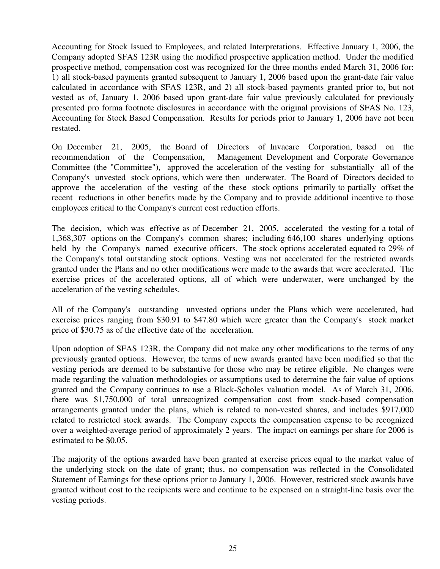Accounting for Stock Issued to Employees, and related Interpretations. Effective January 1, 2006, the Company adopted SFAS 123R using the modified prospective application method. Under the modified prospective method, compensation cost was recognized for the three months ended March 31, 2006 for: 1) all stock-based payments granted subsequent to January 1, 2006 based upon the grant-date fair value calculated in accordance with SFAS 123R, and 2) all stock-based payments granted prior to, but not vested as of, January 1, 2006 based upon grant-date fair value previously calculated for previously presented pro forma footnote disclosures in accordance with the original provisions of SFAS No. 123, Accounting for Stock Based Compensation. Results for periods prior to January 1, 2006 have not been restated.

On December 21, 2005, the Board of Directors of Invacare Corporation, based on the recommendation of the Compensation, Management Development and Corporate Governance Committee (the "Committee"), approved the acceleration of the vesting for substantially all of the Company's unvested stock options, which were then underwater. The Board of Directors decided to approve the acceleration of the vesting of the these stock options primarily to partially offset the recent reductions in other benefits made by the Company and to provide additional incentive to those employees critical to the Company's current cost reduction efforts.

The decision, which was effective as of December 21, 2005, accelerated the vesting for a total of 1,368,307 options on the Company's common shares; including 646,100 shares underlying options held by the Company's named executive officers. The stock options accelerated equated to 29% of the Company's total outstanding stock options. Vesting was not accelerated for the restricted awards granted under the Plans and no other modifications were made to the awards that were accelerated. The exercise prices of the accelerated options, all of which were underwater, were unchanged by the acceleration of the vesting schedules.

All of the Company's outstanding unvested options under the Plans which were accelerated, had exercise prices ranging from \$30.91 to \$47.80 which were greater than the Company's stock market price of \$30.75 as of the effective date of the acceleration.

Upon adoption of SFAS 123R, the Company did not make any other modifications to the terms of any previously granted options. However, the terms of new awards granted have been modified so that the vesting periods are deemed to be substantive for those who may be retiree eligible. No changes were made regarding the valuation methodologies or assumptions used to determine the fair value of options granted and the Company continues to use a Black-Scholes valuation model. As of March 31, 2006, there was \$1,750,000 of total unrecognized compensation cost from stock-based compensation arrangements granted under the plans, which is related to non-vested shares, and includes \$917,000 related to restricted stock awards. The Company expects the compensation expense to be recognized over a weighted-average period of approximately 2 years. The impact on earnings per share for 2006 is estimated to be \$0.05.

The majority of the options awarded have been granted at exercise prices equal to the market value of the underlying stock on the date of grant; thus, no compensation was reflected in the Consolidated Statement of Earnings for these options prior to January 1, 2006. However, restricted stock awards have granted without cost to the recipients were and continue to be expensed on a straight-line basis over the vesting periods.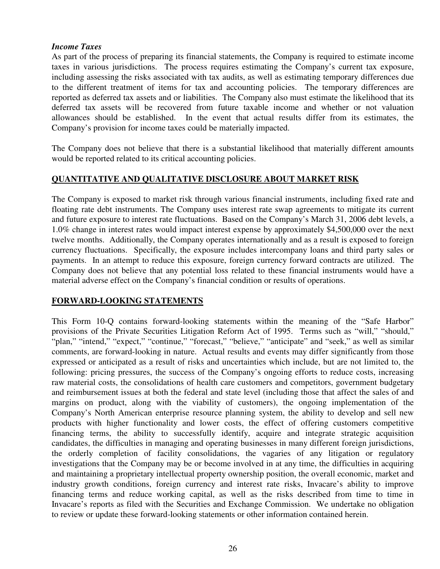#### *Income Taxes*

As part of the process of preparing its financial statements, the Company is required to estimate income taxes in various jurisdictions. The process requires estimating the Company's current tax exposure, including assessing the risks associated with tax audits, as well as estimating temporary differences due to the different treatment of items for tax and accounting policies. The temporary differences are reported as deferred tax assets and or liabilities. The Company also must estimate the likelihood that its deferred tax assets will be recovered from future taxable income and whether or not valuation allowances should be established. In the event that actual results differ from its estimates, the Company's provision for income taxes could be materially impacted.

The Company does not believe that there is a substantial likelihood that materially different amounts would be reported related to its critical accounting policies.

## **QUANTITATIVE AND QUALITATIVE DISCLOSURE ABOUT MARKET RISK**

The Company is exposed to market risk through various financial instruments, including fixed rate and floating rate debt instruments. The Company uses interest rate swap agreements to mitigate its current and future exposure to interest rate fluctuations. Based on the Company's March 31, 2006 debt levels, a 1.0% change in interest rates would impact interest expense by approximately \$4,500,000 over the next twelve months. Additionally, the Company operates internationally and as a result is exposed to foreign currency fluctuations. Specifically, the exposure includes intercompany loans and third party sales or payments. In an attempt to reduce this exposure, foreign currency forward contracts are utilized. The Company does not believe that any potential loss related to these financial instruments would have a material adverse effect on the Company's financial condition or results of operations.

### **FORWARD-LOOKING STATEMENTS**

This Form 10-Q contains forward-looking statements within the meaning of the "Safe Harbor" provisions of the Private Securities Litigation Reform Act of 1995. Terms such as "will," "should," "plan," "intend," "expect," "continue," "forecast," "believe," "anticipate" and "seek," as well as similar comments, are forward-looking in nature. Actual results and events may differ significantly from those expressed or anticipated as a result of risks and uncertainties which include, but are not limited to, the following: pricing pressures, the success of the Company's ongoing efforts to reduce costs, increasing raw material costs, the consolidations of health care customers and competitors, government budgetary and reimbursement issues at both the federal and state level (including those that affect the sales of and margins on product, along with the viability of customers), the ongoing implementation of the Company's North American enterprise resource planning system, the ability to develop and sell new products with higher functionality and lower costs, the effect of offering customers competitive financing terms, the ability to successfully identify, acquire and integrate strategic acquisition candidates, the difficulties in managing and operating businesses in many different foreign jurisdictions, the orderly completion of facility consolidations, the vagaries of any litigation or regulatory investigations that the Company may be or become involved in at any time, the difficulties in acquiring and maintaining a proprietary intellectual property ownership position, the overall economic, market and industry growth conditions, foreign currency and interest rate risks, Invacare's ability to improve financing terms and reduce working capital, as well as the risks described from time to time in Invacare's reports as filed with the Securities and Exchange Commission. We undertake no obligation to review or update these forward-looking statements or other information contained herein.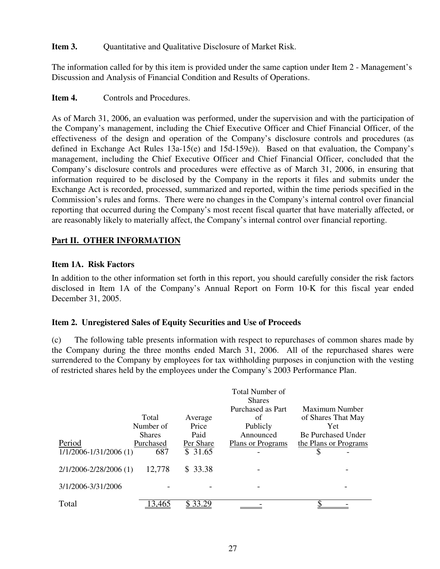### **Item 3.** Quantitative and Qualitative Disclosure of Market Risk.

The information called for by this item is provided under the same caption under Item 2 - Management's Discussion and Analysis of Financial Condition and Results of Operations.

### **Item 4.** Controls and Procedures.

As of March 31, 2006, an evaluation was performed, under the supervision and with the participation of the Company's management, including the Chief Executive Officer and Chief Financial Officer, of the effectiveness of the design and operation of the Company's disclosure controls and procedures (as defined in Exchange Act Rules 13a-15(e) and 15d-159e)). Based on that evaluation, the Company's management, including the Chief Executive Officer and Chief Financial Officer, concluded that the Company's disclosure controls and procedures were effective as of March 31, 2006, in ensuring that information required to be disclosed by the Company in the reports it files and submits under the Exchange Act is recorded, processed, summarized and reported, within the time periods specified in the Commission's rules and forms. There were no changes in the Company's internal control over financial reporting that occurred during the Company's most recent fiscal quarter that have materially affected, or are reasonably likely to materially affect, the Company's internal control over financial reporting.

### **Part II. OTHER INFORMATION**

### **Item 1A. Risk Factors**

In addition to the other information set forth in this report, you should carefully consider the risk factors disclosed in Item 1A of the Company's Annual Report on Form 10-K for this fiscal year ended December 31, 2005.

### **Item 2. Unregistered Sales of Equity Securities and Use of Proceeds**

(c) The following table presents information with respect to repurchases of common shares made by the Company during the three months ended March 31, 2006. All of the repurchased shares were surrendered to the Company by employees for tax withholding purposes in conjunction with the vesting of restricted shares held by the employees under the Company's 2003 Performance Plan.

|                                     | Total<br>Number of                | Average<br>Price             | Total Number of<br><b>Shares</b><br>Purchased as Part<br>of<br>Publicly | Maximum Number<br>of Shares That May<br>Yet             |
|-------------------------------------|-----------------------------------|------------------------------|-------------------------------------------------------------------------|---------------------------------------------------------|
| Period<br>$1/1/2006 - 1/31/2006(1)$ | <b>Shares</b><br>Purchased<br>687 | Paid<br>Per Share<br>\$31.65 | Announced<br>Plans or Programs                                          | <b>Be Purchased Under</b><br>the Plans or Programs<br>S |
| 2/1/2006-2/28/2006 (1)              | 12,778                            | \$33.38                      |                                                                         |                                                         |
| 3/1/2006-3/31/2006                  |                                   |                              |                                                                         |                                                         |
| Total                               | 3.46.                             |                              |                                                                         |                                                         |